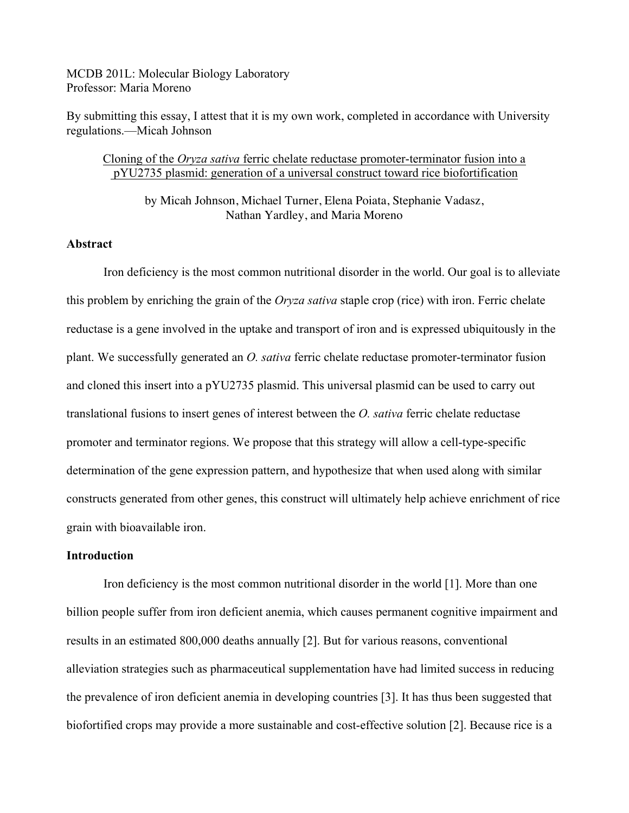MCDB 201L: Molecular Biology Laboratory Professor: Maria Moreno

By submitting this essay, I attest that it is my own work, completed in accordance with University regulations.—Micah Johnson

## Cloning of the *Oryza sativa* ferric chelate reductase promoter-terminator fusion into a pYU2735 plasmid: generation of a universal construct toward rice biofortification

by Micah Johnson, Michael Turner, Elena Poiata, Stephanie Vadasz, Nathan Yardley, and Maria Moreno

# **Abstract**

Iron deficiency is the most common nutritional disorder in the world. Our goal is to alleviate this problem by enriching the grain of the *Oryza sativa* staple crop (rice) with iron. Ferric chelate reductase is a gene involved in the uptake and transport of iron and is expressed ubiquitously in the plant. We successfully generated an *O. sativa* ferric chelate reductase promoter-terminator fusion and cloned this insert into a pYU2735 plasmid. This universal plasmid can be used to carry out translational fusions to insert genes of interest between the *O. sativa* ferric chelate reductase promoter and terminator regions. We propose that this strategy will allow a cell-type-specific determination of the gene expression pattern, and hypothesize that when used along with similar constructs generated from other genes, this construct will ultimately help achieve enrichment of rice grain with bioavailable iron.

#### **Introduction**

Iron deficiency is the most common nutritional disorder in the world [1]. More than one billion people suffer from iron deficient anemia, which causes permanent cognitive impairment and results in an estimated 800,000 deaths annually [2]. But for various reasons, conventional alleviation strategies such as pharmaceutical supplementation have had limited success in reducing the prevalence of iron deficient anemia in developing countries [3]. It has thus been suggested that biofortified crops may provide a more sustainable and cost-effective solution [2]. Because rice is a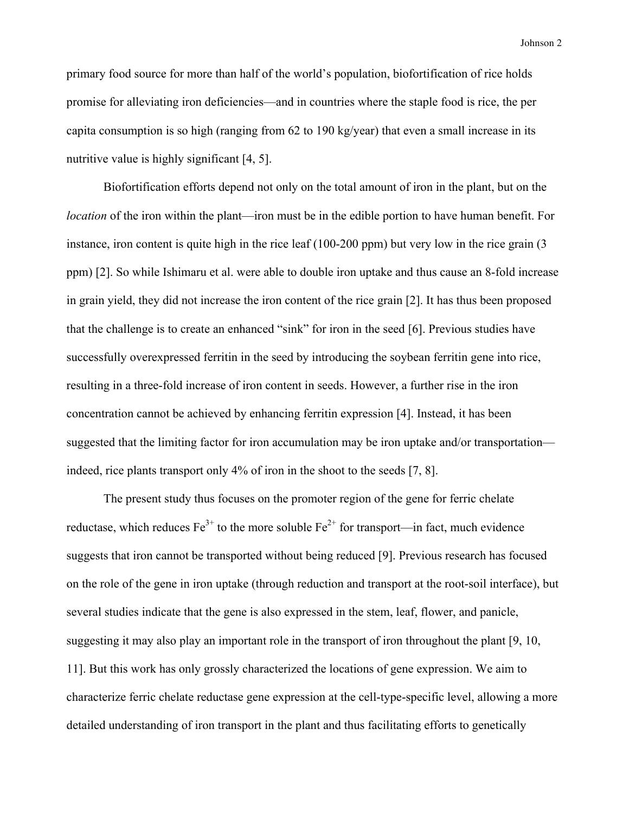primary food source for more than half of the world's population, biofortification of rice holds promise for alleviating iron deficiencies—and in countries where the staple food is rice, the per capita consumption is so high (ranging from 62 to 190 kg/year) that even a small increase in its nutritive value is highly significant [4, 5].

Biofortification efforts depend not only on the total amount of iron in the plant, but on the *location* of the iron within the plant—iron must be in the edible portion to have human benefit. For instance, iron content is quite high in the rice leaf (100-200 ppm) but very low in the rice grain (3 ppm) [2]. So while Ishimaru et al. were able to double iron uptake and thus cause an 8-fold increase in grain yield, they did not increase the iron content of the rice grain [2]. It has thus been proposed that the challenge is to create an enhanced "sink" for iron in the seed [6]. Previous studies have successfully overexpressed ferritin in the seed by introducing the soybean ferritin gene into rice, resulting in a three-fold increase of iron content in seeds. However, a further rise in the iron concentration cannot be achieved by enhancing ferritin expression [4]. Instead, it has been suggested that the limiting factor for iron accumulation may be iron uptake and/or transportation indeed, rice plants transport only 4% of iron in the shoot to the seeds [7, 8].

The present study thus focuses on the promoter region of the gene for ferric chelate reductase, which reduces  $Fe^{3+}$  to the more soluble  $Fe^{2+}$  for transport—in fact, much evidence suggests that iron cannot be transported without being reduced [9]. Previous research has focused on the role of the gene in iron uptake (through reduction and transport at the root-soil interface), but several studies indicate that the gene is also expressed in the stem, leaf, flower, and panicle, suggesting it may also play an important role in the transport of iron throughout the plant [9, 10, 11]. But this work has only grossly characterized the locations of gene expression. We aim to characterize ferric chelate reductase gene expression at the cell-type-specific level, allowing a more detailed understanding of iron transport in the plant and thus facilitating efforts to genetically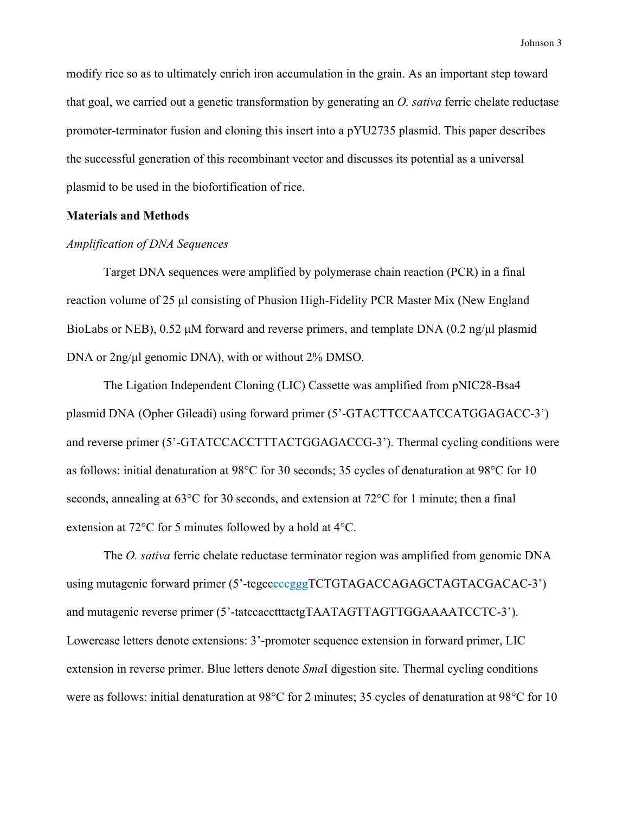modify rice so as to ultimately enrich iron accumulation in the grain. As an important step toward that goal, we carried out a genetic transformation by generating an *O. sativa* ferric chelate reductase promoter-terminator fusion and cloning this insert into a pYU2735 plasmid. This paper describes the successful generation of this recombinant vector and discusses its potential as a universal plasmid to be used in the biofortification of rice.

#### **Materials and Methods**

#### *Amplification of DNA Sequences*

Target DNA sequences were amplified by polymerase chain reaction (PCR) in a final reaction volume of 25 µl consisting of Phusion High-Fidelity PCR Master Mix (New England BioLabs or NEB),  $0.52 \mu$ M forward and reverse primers, and template DNA  $(0.2 \text{ ng}/\mu)$  plasmid DNA or 2ng/µl genomic DNA), with or without 2% DMSO.

The Ligation Independent Cloning (LIC) Cassette was amplified from pNIC28-Bsa4 plasmid DNA (Opher Gileadi) using forward primer (5'-GTACTTCCAATCCATGGAGACC-3') and reverse primer (5'-GTATCCACCTTTACTGGAGACCG-3'). Thermal cycling conditions were as follows: initial denaturation at 98°C for 30 seconds; 35 cycles of denaturation at 98°C for 10 seconds, annealing at 63°C for 30 seconds, and extension at 72°C for 1 minute; then a final extension at 72°C for 5 minutes followed by a hold at 4°C.

The *O. sativa* ferric chelate reductase terminator region was amplified from genomic DNA using mutagenic forward primer (5'-tcgcccccgggTCTGTAGACCAGAGCTAGTACGACAC-3') and mutagenic reverse primer (5'-tatccacctttactgTAATAGTTAGTTGGAAAATCCTC-3'). Lowercase letters denote extensions: 3'-promoter sequence extension in forward primer, LIC extension in reverse primer. Blue letters denote *Sma*I digestion site. Thermal cycling conditions were as follows: initial denaturation at 98°C for 2 minutes; 35 cycles of denaturation at 98°C for 10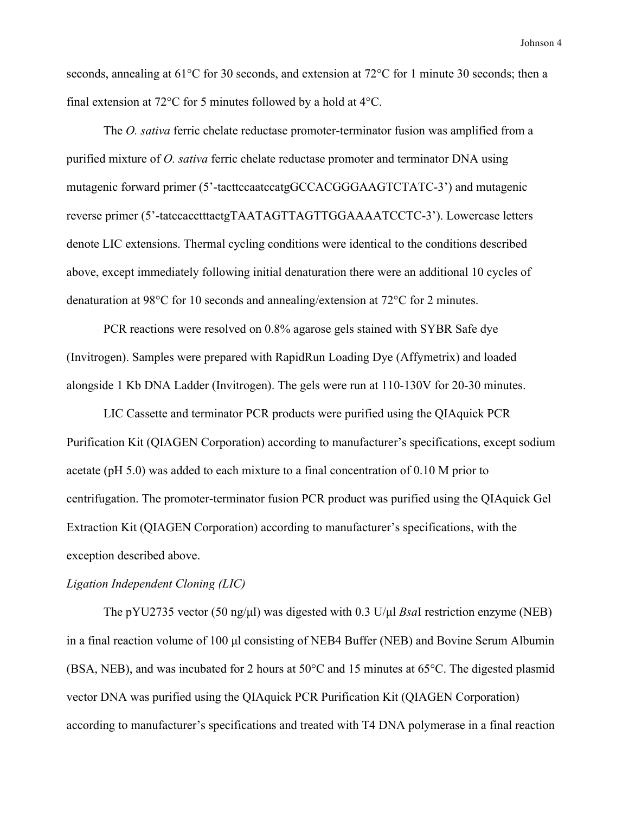seconds, annealing at 61°C for 30 seconds, and extension at 72°C for 1 minute 30 seconds; then a final extension at 72°C for 5 minutes followed by a hold at 4°C.

The *O. sativa* ferric chelate reductase promoter-terminator fusion was amplified from a purified mixture of *O. sativa* ferric chelate reductase promoter and terminator DNA using mutagenic forward primer (5'-tacttccaatccatgGCCACGGGAAGTCTATC-3') and mutagenic reverse primer (5'-tatccacctttactgTAATAGTTAGTTGGAAAATCCTC-3'). Lowercase letters denote LIC extensions. Thermal cycling conditions were identical to the conditions described above, except immediately following initial denaturation there were an additional 10 cycles of denaturation at 98 $^{\circ}$ C for 10 seconds and annealing/extension at 72 $^{\circ}$ C for 2 minutes.

PCR reactions were resolved on 0.8% agarose gels stained with SYBR Safe dye (Invitrogen). Samples were prepared with RapidRun Loading Dye (Affymetrix) and loaded alongside 1 Kb DNA Ladder (Invitrogen). The gels were run at 110-130V for 20-30 minutes.

LIC Cassette and terminator PCR products were purified using the QIAquick PCR Purification Kit (QIAGEN Corporation) according to manufacturer's specifications, except sodium acetate (pH 5.0) was added to each mixture to a final concentration of 0.10 M prior to centrifugation. The promoter-terminator fusion PCR product was purified using the QIAquick Gel Extraction Kit (QIAGEN Corporation) according to manufacturer's specifications, with the exception described above.

### *Ligation Independent Cloning (LIC)*

The pYU2735 vector (50 ng/µl) was digested with 0.3 U/µl *Bsa*I restriction enzyme (NEB) in a final reaction volume of 100 µl consisting of NEB4 Buffer (NEB) and Bovine Serum Albumin (BSA, NEB), and was incubated for 2 hours at 50°C and 15 minutes at 65°C. The digested plasmid vector DNA was purified using the QIAquick PCR Purification Kit (QIAGEN Corporation) according to manufacturer's specifications and treated with T4 DNA polymerase in a final reaction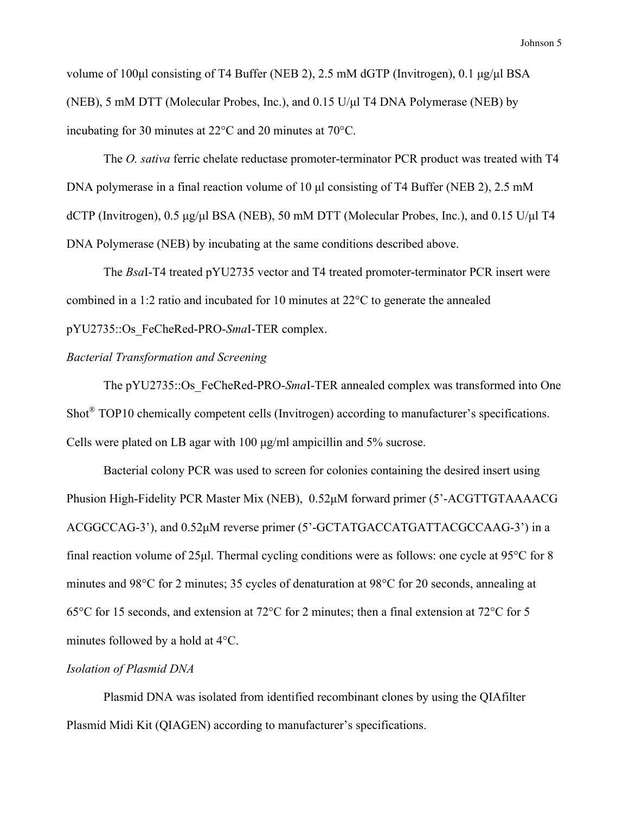volume of 100µl consisting of T4 Buffer (NEB 2), 2.5 mM dGTP (Invitrogen), 0.1 µg/µl BSA (NEB), 5 mM DTT (Molecular Probes, Inc.), and 0.15 U/µl T4 DNA Polymerase (NEB) by incubating for 30 minutes at 22°C and 20 minutes at 70°C.

The *O. sativa* ferric chelate reductase promoter-terminator PCR product was treated with T4 DNA polymerase in a final reaction volume of 10 µl consisting of T4 Buffer (NEB 2), 2.5 mM dCTP (Invitrogen), 0.5 µg/µl BSA (NEB), 50 mM DTT (Molecular Probes, Inc.), and 0.15 U/µl T4 DNA Polymerase (NEB) by incubating at the same conditions described above.

The *Bsa*I-T4 treated pYU2735 vector and T4 treated promoter-terminator PCR insert were combined in a 1:2 ratio and incubated for 10 minutes at 22°C to generate the annealed pYU2735::Os\_FeCheRed-PRO-*Sma*I-TER complex.

## *Bacterial Transformation and Screening*

The pYU2735::Os\_FeCheRed-PRO-*Sma*I-TER annealed complex was transformed into One Shot® TOP10 chemically competent cells (Invitrogen) according to manufacturer's specifications. Cells were plated on LB agar with 100 µg/ml ampicillin and 5% sucrose.

Bacterial colony PCR was used to screen for colonies containing the desired insert using Phusion High-Fidelity PCR Master Mix (NEB), 0.52µM forward primer (5'-ACGTTGTAAAACG ACGGCCAG-3'), and 0.52µM reverse primer (5'-GCTATGACCATGATTACGCCAAG-3') in a final reaction volume of 25µl. Thermal cycling conditions were as follows: one cycle at 95°C for 8 minutes and 98°C for 2 minutes; 35 cycles of denaturation at 98°C for 20 seconds, annealing at 65°C for 15 seconds, and extension at 72°C for 2 minutes; then a final extension at 72°C for 5 minutes followed by a hold at 4°C.

## *Isolation of Plasmid DNA*

Plasmid DNA was isolated from identified recombinant clones by using the QIAfilter Plasmid Midi Kit (QIAGEN) according to manufacturer's specifications.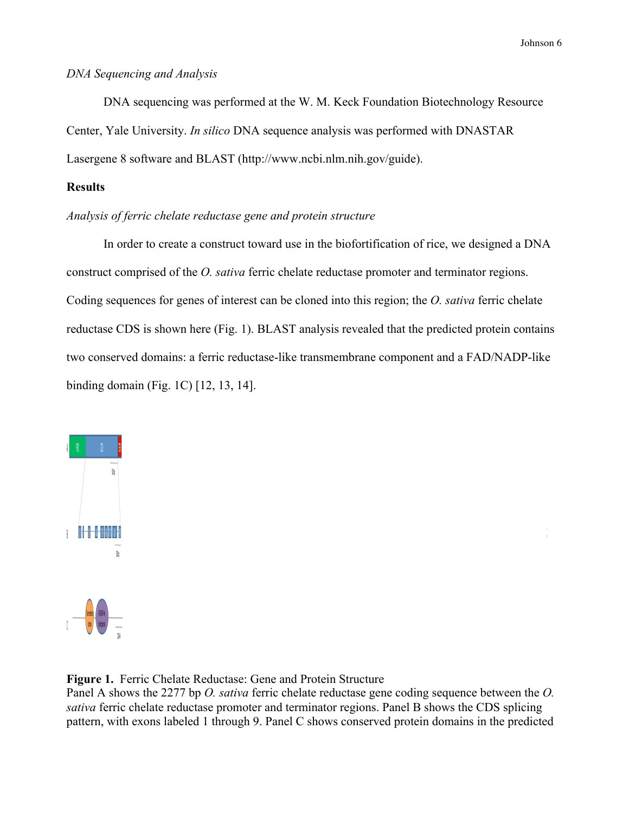#### *DNA Sequencing and Analysis*

DNA sequencing was performed at the W. M. Keck Foundation Biotechnology Resource Center, Yale University. *In silico* DNA sequence analysis was performed with DNASTAR Lasergene 8 software and BLAST (http://www.ncbi.nlm.nih.gov/guide).

# **Results**

# *Analysis of ferric chelate reductase gene and protein structure*

In order to create a construct toward use in the biofortification of rice, we designed a DNA construct comprised of the *O. sativa* ferric chelate reductase promoter and terminator regions. Coding sequences for genes of interest can be cloned into this region; the *O. sativa* ferric chelate reductase CDS is shown here (Fig. 1). BLAST analysis revealed that the predicted protein contains two conserved domains: a ferric reductase-like transmembrane component and a FAD/NADP-like binding domain (Fig. 1C) [12, 13, 14].



**Figure 1.** Ferric Chelate Reductase: Gene and Protein Structure

Panel A shows the 2277 bp *O. sativa* ferric chelate reductase gene coding sequence between the *O. sativa* ferric chelate reductase promoter and terminator regions. Panel B shows the CDS splicing pattern, with exons labeled 1 through 9. Panel C shows conserved protein domains in the predicted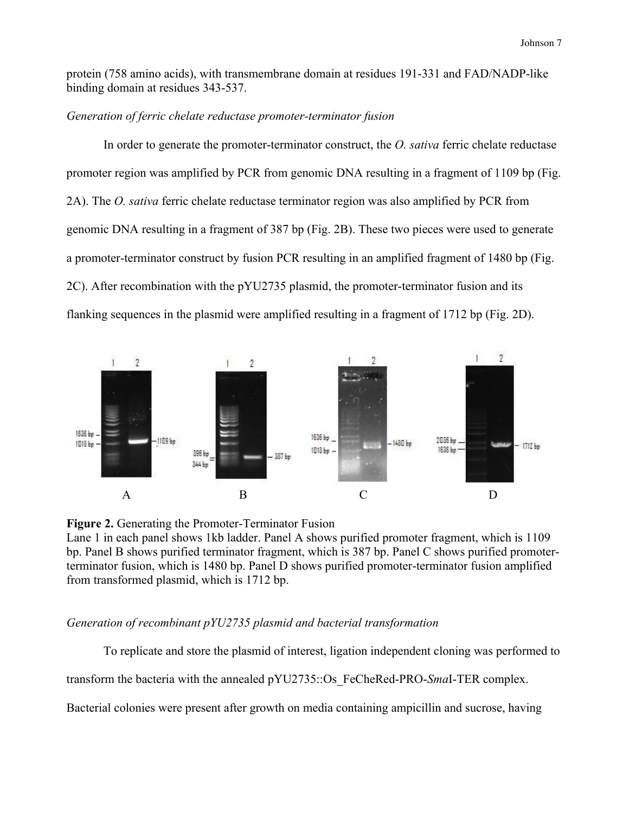protein (758 amino acids), with transmembrane domain at residues 191-331 and FAD/NADP-like binding domain at residues 343-537.

#### *Generation of ferric chelate reductase promoter-terminator fusion*

In order to generate the promoter-terminator construct, the *O. sativa* ferric chelate reductase promoter region was amplified by PCR from genomic DNA resulting in a fragment of 1109 bp (Fig. 2A). The *O. sativa* ferric chelate reductase terminator region was also amplified by PCR from genomic DNA resulting in a fragment of 387 bp (Fig. 2B). These two pieces were used to generate a promoter-terminator construct by fusion PCR resulting in an amplified fragment of 1480 bp (Fig. 2C). After recombination with the pYU2735 plasmid, the promoter-terminator fusion and its flanking sequences in the plasmid were amplified resulting in a fragment of 1712 bp (Fig. 2D).





Lane 1 in each panel shows 1kb ladder. Panel A shows purified promoter fragment, which is 1109 bp. Panel B shows purified terminator fragment, which is 387 bp. Panel C shows purified promoterterminator fusion, which is 1480 bp. Panel D shows purified promoter-terminator fusion amplified from transformed plasmid, which is 1712 bp.

## *Generation of recombinant pYU2735 plasmid and bacterial transformation*

To replicate and store the plasmid of interest, ligation independent cloning was performed to

transform the bacteria with the annealed pYU2735::Os\_FeCheRed-PRO-*Sma*I-TER complex.

Bacterial colonies were present after growth on media containing ampicillin and sucrose, having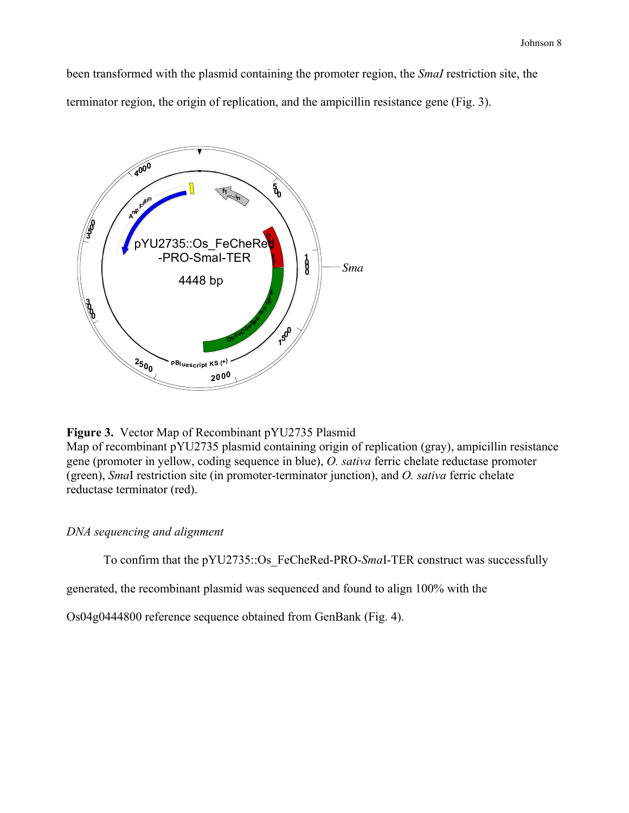been transformed with the plasmid containing the promoter region, the *SmaI* restriction site, the terminator region, the origin of replication, and the ampicillin resistance gene (Fig. 3).



**Figure 3.** Vector Map of Recombinant pYU2735 Plasmid

Map of recombinant pYU2735 plasmid containing origin of replication (gray), ampicillin resistance gene (promoter in yellow, coding sequence in blue), *O. sativa* ferric chelate reductase promoter (green), *Sma*I restriction site (in promoter-terminator junction), and *O. sativa* ferric chelate reductase terminator (red).

# *DNA sequencing and alignment*

To confirm that the pYU2735::Os\_FeCheRed-PRO-*Sma*I-TER construct was successfully

generated, the recombinant plasmid was sequenced and found to align 100% with the

Os04g0444800 reference sequence obtained from GenBank (Fig. 4).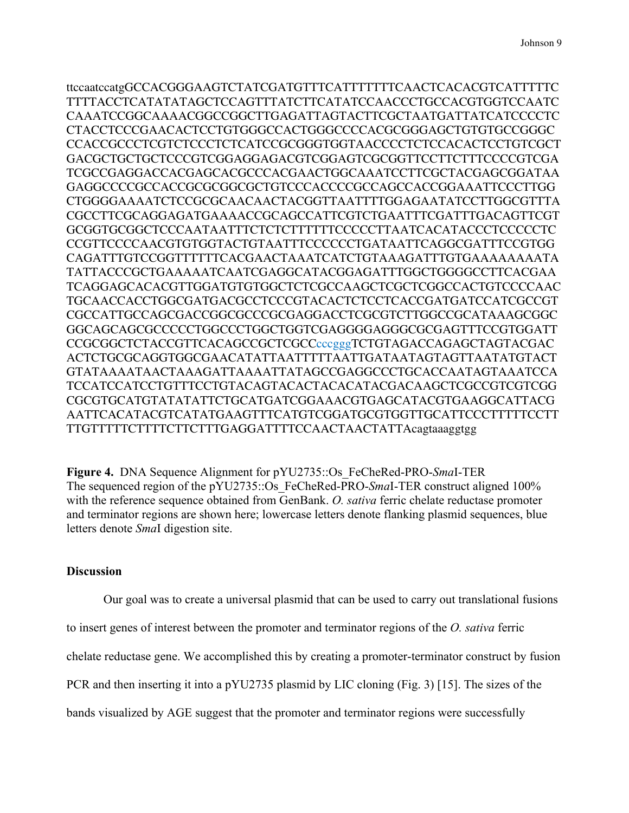ttccaatccatgGCCACGGGAAGTCTATCGATGTTTCATTTTTTTCAACTCACACGTCATTTTTC TTTTACCTCATATATAGCTCCAGTTTATCTTCATATCCAACCCTGCCACGTGGTCCAATC CAAATCCGGCAAAACGGCCGGCTTGAGATTAGTACTTCGCTAATGATTATCATCCCCTC CTACCTCCCGAACACTCCTGTGGGCCACTGGGCCCCACGCGGGAGCTGTGTGCCGGGC CCACCGCCCTCGTCTCCCTCTCATCCGCGGGTGGTAACCCCTCTCCACACTCCTGTCGCT GACGCTGCTGCTCCCGTCGGAGGAGACGTCGGAGTCGCGGTTCCTTCTTTCCCCGTCGA TCGCCGAGGACCACGAGCACGCCCACGAACTGGCAAATCCTTCGCTACGAGCGGATAA GAGGCCCCGCCACCGCGCGGCGCTGTCCCACCCCGCCAGCCACCGGAAATTCCCTTGG CTGGGGAAAATCTCCGCGCAACAACTACGGTTAATTTTGGAGAATATCCTTGGCGTTTA CGCCTTCGCAGGAGATGAAAACCGCAGCCATTCGTCTGAATTTCGATTTGACAGTTCGT GCGGTGCGGCTCCCAATAATTTCTCTCTTTTTTCCCCCTTAATCACATACCCTCCCCCTC CCGTTCCCCAACGTGTGGTACTGTAATTTCCCCCCTGATAATTCAGGCGATTTCCGTGG CAGATTTGTCCGGTTTTTTCACGAACTAAATCATCTGTAAAGATTTGTGAAAAAAAATA TATTACCCGCTGAAAAATCAATCGAGGCATACGGAGATTTGGCTGGGGCCTTCACGAA TCAGGAGCACACGTTGGATGTGTGGCTCTCGCCAAGCTCGCTCGGCCACTGTCCCCAAC TGCAACCACCTGGCGATGACGCCTCCCGTACACTCTCCTCACCGATGATCCATCGCCGT CGCCATTGCCAGCGACCGGCGCCCGCGAGGACCTCGCGTCTTGGCCGCATAAAGCGGC GGCAGCAGCGCCCCCTGGCCCTGGCTGGTCGAGGGGAGGGCGCGAGTTTCCGTGGATT CCGCGGCTCTACCGTTCACAGCCGCTCGCCcccgggTCTGTAGACCAGAGCTAGTACGAC ACTCTGCGCAGGTGGCGAACATATTAATTTTTAATTGATAATAGTAGTTAATATGTACT GTATAAAATAACTAAAGATTAAAATTATAGCCGAGGCCCTGCACCAATAGTAAATCCA TCCATCCATCCTGTTTCCTGTACAGTACACTACACATACGACAAGCTCGCCGTCGTCGG CGCGTGCATGTATATATTCTGCATGATCGGAAACGTGAGCATACGTGAAGGCATTACG AATTCACATACGTCATATGAAGTTTCATGTCGGATGCGTGGTTGCATTCCCTTTTTCCTT TTGTTTTTCTTTTCTTCTTTGAGGATTTTCCAACTAACTATTAcagtaaaggtgg

**Figure 4.** DNA Sequence Alignment for pYU2735::Os\_FeCheRed-PRO-*Sma*I-TER The sequenced region of the pYU2735::Os FeCheRed-PRO-*SmaI*-TER construct aligned 100% with the reference sequence obtained from GenBank. *O. sativa* ferric chelate reductase promoter and terminator regions are shown here; lowercase letters denote flanking plasmid sequences, blue letters denote *Sma*I digestion site.

### **Discussion**

Our goal was to create a universal plasmid that can be used to carry out translational fusions to insert genes of interest between the promoter and terminator regions of the *O. sativa* ferric chelate reductase gene. We accomplished this by creating a promoter-terminator construct by fusion PCR and then inserting it into a pYU2735 plasmid by LIC cloning (Fig. 3) [15]. The sizes of the bands visualized by AGE suggest that the promoter and terminator regions were successfully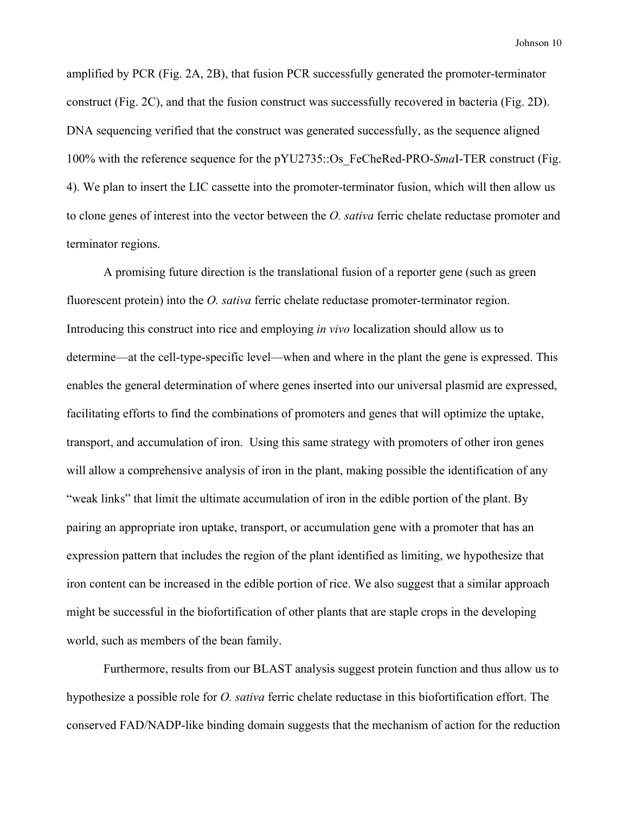amplified by PCR (Fig. 2A, 2B), that fusion PCR successfully generated the promoter-terminator construct (Fig. 2C), and that the fusion construct was successfully recovered in bacteria (Fig. 2D). DNA sequencing verified that the construct was generated successfully, as the sequence aligned 100% with the reference sequence for the pYU2735::Os\_FeCheRed-PRO-*Sma*I-TER construct (Fig. 4). We plan to insert the LIC cassette into the promoter-terminator fusion, which will then allow us to clone genes of interest into the vector between the *O. sativa* ferric chelate reductase promoter and terminator regions.

A promising future direction is the translational fusion of a reporter gene (such as green fluorescent protein) into the *O. sativa* ferric chelate reductase promoter-terminator region. Introducing this construct into rice and employing *in vivo* localization should allow us to determine—at the cell-type-specific level—when and where in the plant the gene is expressed. This enables the general determination of where genes inserted into our universal plasmid are expressed, facilitating efforts to find the combinations of promoters and genes that will optimize the uptake, transport, and accumulation of iron. Using this same strategy with promoters of other iron genes will allow a comprehensive analysis of iron in the plant, making possible the identification of any "weak links" that limit the ultimate accumulation of iron in the edible portion of the plant. By pairing an appropriate iron uptake, transport, or accumulation gene with a promoter that has an expression pattern that includes the region of the plant identified as limiting, we hypothesize that iron content can be increased in the edible portion of rice. We also suggest that a similar approach might be successful in the biofortification of other plants that are staple crops in the developing world, such as members of the bean family.

Furthermore, results from our BLAST analysis suggest protein function and thus allow us to hypothesize a possible role for *O. sativa* ferric chelate reductase in this biofortification effort. The conserved FAD/NADP-like binding domain suggests that the mechanism of action for the reduction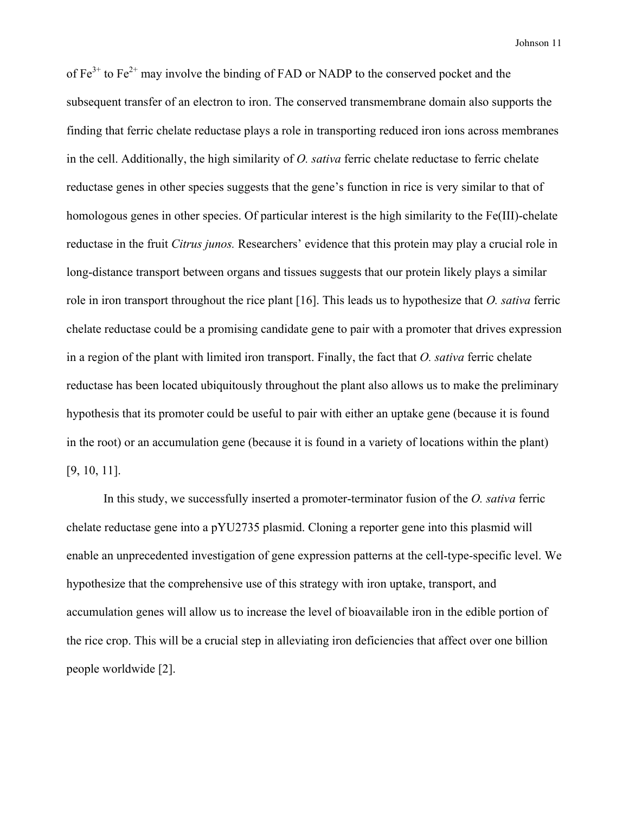of  $Fe^{3+}$  to  $Fe^{2+}$  may involve the binding of FAD or NADP to the conserved pocket and the subsequent transfer of an electron to iron. The conserved transmembrane domain also supports the finding that ferric chelate reductase plays a role in transporting reduced iron ions across membranes in the cell. Additionally, the high similarity of *O. sativa* ferric chelate reductase to ferric chelate reductase genes in other species suggests that the gene's function in rice is very similar to that of homologous genes in other species. Of particular interest is the high similarity to the Fe(III)-chelate reductase in the fruit *Citrus junos.* Researchers' evidence that this protein may play a crucial role in long-distance transport between organs and tissues suggests that our protein likely plays a similar role in iron transport throughout the rice plant [16]. This leads us to hypothesize that *O. sativa* ferric chelate reductase could be a promising candidate gene to pair with a promoter that drives expression in a region of the plant with limited iron transport. Finally, the fact that *O. sativa* ferric chelate reductase has been located ubiquitously throughout the plant also allows us to make the preliminary hypothesis that its promoter could be useful to pair with either an uptake gene (because it is found in the root) or an accumulation gene (because it is found in a variety of locations within the plant) [9, 10, 11].

In this study, we successfully inserted a promoter-terminator fusion of the *O. sativa* ferric chelate reductase gene into a pYU2735 plasmid. Cloning a reporter gene into this plasmid will enable an unprecedented investigation of gene expression patterns at the cell-type-specific level. We hypothesize that the comprehensive use of this strategy with iron uptake, transport, and accumulation genes will allow us to increase the level of bioavailable iron in the edible portion of the rice crop. This will be a crucial step in alleviating iron deficiencies that affect over one billion people worldwide [2].